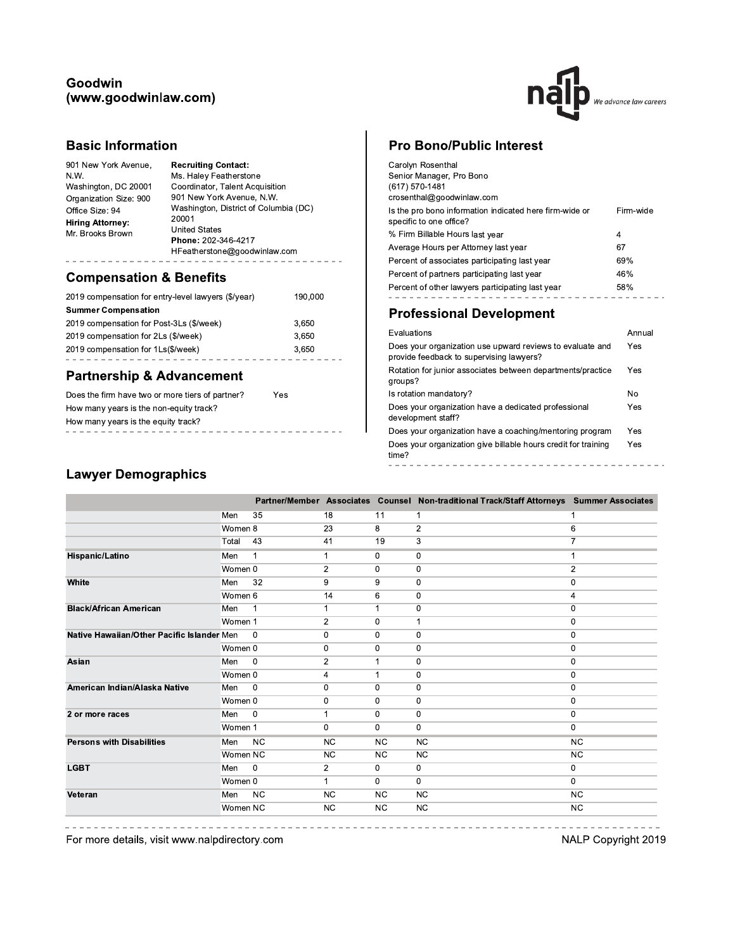### Goodwin (www.goodwinlaw.com)



# **Basic Information**

| 901 New York Avenue,<br>N.W.<br>Washington, DC 20001<br>Organization Size: 900<br>Office Size: 94<br>Hiring Attorney:<br>Mr. Brooks Brown | <b>Recruiting Contact:</b><br>Ms. Haley Featherstone<br>Coordinator, Talent Acquisition<br>901 New York Avenue, N.W.<br>Washington, District of Columbia (DC)<br>20001<br><b>United States</b><br>Phone: 202-346-4217 |
|-------------------------------------------------------------------------------------------------------------------------------------------|-----------------------------------------------------------------------------------------------------------------------------------------------------------------------------------------------------------------------|
|                                                                                                                                           | HFeatherstone@goodwinlaw.com                                                                                                                                                                                          |
|                                                                                                                                           |                                                                                                                                                                                                                       |

# **Compensation & Benefits**

| 2019 compensation for entry-level lawyers (\$/year) | 190,000 |
|-----------------------------------------------------|---------|
| <b>Summer Compensation</b>                          |         |
| 2019 compensation for Post-3Ls (\$/week)            | 3,650   |
| 2019 compensation for 2Ls (\$/week)                 | 3.650   |
| 2019 compensation for 1Ls(\$/week)                  | 3.650   |
|                                                     |         |

## **Partnership & Advancement**

| Does the firm have two or more tiers of partner? | Yes |  |  |  |  |  |  |  |
|--------------------------------------------------|-----|--|--|--|--|--|--|--|
| How many years is the non-equity track?          |     |  |  |  |  |  |  |  |
| How many years is the equity track?              |     |  |  |  |  |  |  |  |
|                                                  |     |  |  |  |  |  |  |  |

# **Pro Bono/Public Interest**

| Carolyn Rosenthal<br>Senior Manager, Pro Bono<br>(617) 570-1481<br>crosenthal@goodwinlaw.com |           |
|----------------------------------------------------------------------------------------------|-----------|
| Is the pro bono information indicated here firm-wide or<br>specific to one office?           | Firm-wide |
| % Firm Billable Hours last year                                                              | 4         |
| Average Hours per Attorney last year                                                         | 67        |
| Percent of associates participating last year                                                | 69%       |
| Percent of partners participating last year                                                  | 46%       |
| Percent of other lawyers participating last year                                             | 58%       |
|                                                                                              |           |

# **Professional Development**

| Evaluations                                                                                           | Annual |
|-------------------------------------------------------------------------------------------------------|--------|
| Does your organization use upward reviews to evaluate and<br>provide feedback to supervising lawyers? | Yes    |
| Rotation for junior associates between departments/practice<br>groups?                                | Yes    |
| Is rotation mandatory?                                                                                | No     |
| Does your organization have a dedicated professional<br>development staff?                            | Yes    |
| Does your organization have a coaching/mentoring program                                              | Yes    |
| Does your organization give billable hours credit for training<br>time?                               | Yes    |
|                                                                                                       |        |

# **Lawyer Demographics**

|                                            |          |              |                |              | Partner/Member Associates Counsel Non-traditional Track/Staff Attorneys Summer Associates |                |
|--------------------------------------------|----------|--------------|----------------|--------------|-------------------------------------------------------------------------------------------|----------------|
|                                            | Men      | 35           | 18             | 11           | $\mathbf{1}$                                                                              |                |
|                                            | Women 8  |              | 23             | 8            | $\overline{2}$                                                                            | 6              |
|                                            | Total    | 43           | 41             | 19           | 3                                                                                         | 7              |
| Hispanic/Latino                            | Men      | 1            | 1              | 0            | 0                                                                                         | 1              |
|                                            | Women 0  |              | $\overline{2}$ | $\mathbf 0$  | $\mathbf 0$                                                                               | $\overline{c}$ |
| White                                      | Men      | 32           | 9              | 9            | 0                                                                                         | 0              |
|                                            | Women 6  |              | 14             | 6            | 0                                                                                         | 4              |
| <b>Black/African American</b>              | Men      | $\mathbf{1}$ | 1              | $\mathbf 1$  | $\mathbf 0$                                                                               | $\mathbf 0$    |
|                                            | Women 1  |              | $\overline{2}$ | 0            | 1                                                                                         | 0              |
| Native Hawaiian/Other Pacific Islander Men |          | $\Omega$     | 0              | 0            | $\mathbf 0$                                                                               | 0              |
|                                            | Women 0  |              | 0              | 0            | $\mathbf 0$                                                                               | $\mathbf 0$    |
| Asian                                      | Men      | $\mathbf 0$  | $\overline{2}$ | 1            | 0                                                                                         | $\mathbf 0$    |
|                                            | Women 0  |              | 4              | $\mathbf{1}$ | 0                                                                                         | $\mathbf 0$    |
| American Indian/Alaska Native              | Men      | 0            | 0              | $\mathbf 0$  | $\mathbf 0$                                                                               | $\bf{0}$       |
|                                            | Women 0  |              | 0              | 0            | 0                                                                                         | 0              |
| 2 or more races                            | Men      | $\Omega$     |                | $\mathbf{0}$ | 0                                                                                         | 0              |
|                                            | Women 1  |              | $\Omega$       | $\mathbf 0$  | 0                                                                                         | $\Omega$       |
| <b>Persons with Disabilities</b>           | Men      | <b>NC</b>    | <b>NC</b>      | <b>NC</b>    | <b>NC</b>                                                                                 | <b>NC</b>      |
|                                            | Women NC |              | NC             | <b>NC</b>    | <b>NC</b>                                                                                 | <b>NC</b>      |
| <b>LGBT</b>                                | Men      | 0            | $\overline{2}$ | 0            | 0                                                                                         | 0              |
|                                            | Women 0  |              | $\mathbf{1}$   | $\mathbf 0$  | $\mathbf 0$                                                                               | $\mathbf 0$    |
| Veteran                                    | Men      | <b>NC</b>    | <b>NC</b>      | <b>NC</b>    | <b>NC</b>                                                                                 | <b>NC</b>      |
|                                            | Women NC |              | NC.            | <b>NC</b>    | <b>NC</b>                                                                                 | <b>NC</b>      |

For more details, visit www.nalpdirectory.com

NALP Copyright 2019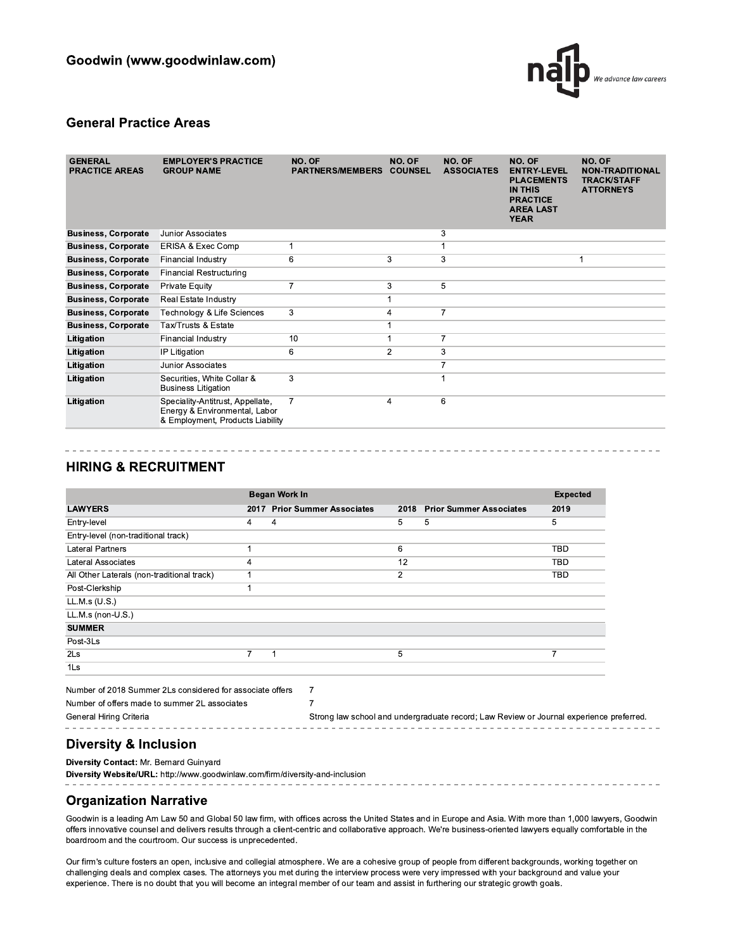

### **General Practice Areas**

| <b>GENERAL</b><br><b>PRACTICE AREAS</b> | <b>EMPLOYER'S PRACTICE</b><br><b>GROUP NAME</b>                                                       | NO. OF<br><b>PARTNERS/MEMBERS</b> | NO. OF<br><b>COUNSEL</b> | NO. OF<br><b>ASSOCIATES</b> | NO. OF<br><b>ENTRY-LEVEL</b><br><b>PLACEMENTS</b><br><b>IN THIS</b><br><b>PRACTICE</b><br><b>AREA LAST</b><br><b>YEAR</b> | NO. OF<br><b>NON-TRADITIONAL</b><br><b>TRACK/STAFF</b><br><b>ATTORNEYS</b> |
|-----------------------------------------|-------------------------------------------------------------------------------------------------------|-----------------------------------|--------------------------|-----------------------------|---------------------------------------------------------------------------------------------------------------------------|----------------------------------------------------------------------------|
| <b>Business, Corporate</b>              | Junior Associates                                                                                     |                                   |                          | 3                           |                                                                                                                           |                                                                            |
| <b>Business, Corporate</b>              | ERISA & Exec Comp                                                                                     |                                   |                          |                             |                                                                                                                           |                                                                            |
| <b>Business, Corporate</b>              | Financial Industry                                                                                    | 6                                 | 3                        | 3                           |                                                                                                                           | 1                                                                          |
| <b>Business, Corporate</b>              | <b>Financial Restructuring</b>                                                                        |                                   |                          |                             |                                                                                                                           |                                                                            |
| <b>Business, Corporate</b>              | <b>Private Equity</b>                                                                                 | $\overline{7}$                    | 3                        | 5                           |                                                                                                                           |                                                                            |
| <b>Business, Corporate</b>              | Real Estate Industry                                                                                  |                                   |                          |                             |                                                                                                                           |                                                                            |
| <b>Business, Corporate</b>              | Technology & Life Sciences                                                                            | 3                                 | 4                        | $\overline{7}$              |                                                                                                                           |                                                                            |
| <b>Business, Corporate</b>              | Tax/Trusts & Estate                                                                                   |                                   |                          |                             |                                                                                                                           |                                                                            |
| Litigation                              | Financial Industry                                                                                    | 10                                |                          | $\overline{7}$              |                                                                                                                           |                                                                            |
| Litigation                              | IP Litigation                                                                                         | 6                                 | 2                        | 3                           |                                                                                                                           |                                                                            |
| Litigation                              | Junior Associates                                                                                     |                                   |                          | $\overline{7}$              |                                                                                                                           |                                                                            |
| Litigation                              | Securities, White Collar &<br><b>Business Litigation</b>                                              | 3                                 |                          |                             |                                                                                                                           |                                                                            |
| Litigation                              | Speciality-Antitrust, Appellate,<br>Energy & Environmental, Labor<br>& Employment, Products Liability | $\overline{7}$                    | 4                        | 6                           |                                                                                                                           |                                                                            |

### **HIRING & RECRUITMENT**

|                                            |                | <b>Began Work In</b>         |                |                                |            |  |  |  |  |  |  |  |  |  |
|--------------------------------------------|----------------|------------------------------|----------------|--------------------------------|------------|--|--|--|--|--|--|--|--|--|
| <b>LAWYERS</b>                             |                | 2017 Prior Summer Associates | 2018           | <b>Prior Summer Associates</b> | 2019       |  |  |  |  |  |  |  |  |  |
| Entry-level                                | 4              | 4                            | 5              | 5                              | 5          |  |  |  |  |  |  |  |  |  |
| Entry-level (non-traditional track)        |                |                              |                |                                |            |  |  |  |  |  |  |  |  |  |
| <b>Lateral Partners</b>                    |                |                              | 6              |                                | TBD        |  |  |  |  |  |  |  |  |  |
| Lateral Associates                         | 4              |                              | 12             |                                | <b>TBD</b> |  |  |  |  |  |  |  |  |  |
| All Other Laterals (non-traditional track) |                |                              | $\overline{2}$ |                                | <b>TBD</b> |  |  |  |  |  |  |  |  |  |
| Post-Clerkship                             |                |                              |                |                                |            |  |  |  |  |  |  |  |  |  |
| LL.M.s (U.S.)                              |                |                              |                |                                |            |  |  |  |  |  |  |  |  |  |
| LL.M.s (non-U.S.)                          |                |                              |                |                                |            |  |  |  |  |  |  |  |  |  |
| <b>SUMMER</b>                              |                |                              |                |                                |            |  |  |  |  |  |  |  |  |  |
| Post-3Ls                                   |                |                              |                |                                |            |  |  |  |  |  |  |  |  |  |
| 2Ls                                        | $\overline{7}$ | 1                            | 5              |                                | 7          |  |  |  |  |  |  |  |  |  |
| 1Ls                                        |                |                              |                |                                |            |  |  |  |  |  |  |  |  |  |

| Number of 2018 Summer 2Ls considered for associate offers |            |  |
|-----------------------------------------------------------|------------|--|
| Number of offers made to summer 2L associates             |            |  |
| General Hiring Criteria                                   | Strong law |  |
|                                                           |            |  |

| Strong law school and undergraduate record; Law Review or Journal experience preferred. |  |  |  |  |  |  |  |  |  |  |  |  |  |  |  |  |
|-----------------------------------------------------------------------------------------|--|--|--|--|--|--|--|--|--|--|--|--|--|--|--|--|
|                                                                                         |  |  |  |  |  |  |  |  |  |  |  |  |  |  |  |  |

# **Diversity & Inclusion**

Diversity Contact: Mr. Bernard Guinyard

Diversity Website/URL: http://www.goodwinlaw.com/firm/diversity-and-inclusion

# **Organization Narrative**

Goodwin is a leading Am Law 50 and Global 50 law firm, with offices across the United States and in Europe and Asia. With more than 1,000 lawyers, Goodwin offers innovative counsel and delivers results through a client-centric and collaborative approach. We're business-oriented lawyers equally comfortable in the boardroom and the courtroom. Our success is unprecedented.

Our firm's culture fosters an open, inclusive and collegial atmosphere. We are a cohesive group of people from different backgrounds, working together on challenging deals and complex cases. The attorneys you met during the interview process were very impressed with your background and value your experience. There is no doubt that you will become an integral member of our team and assist in furthering our strategic growth goals.